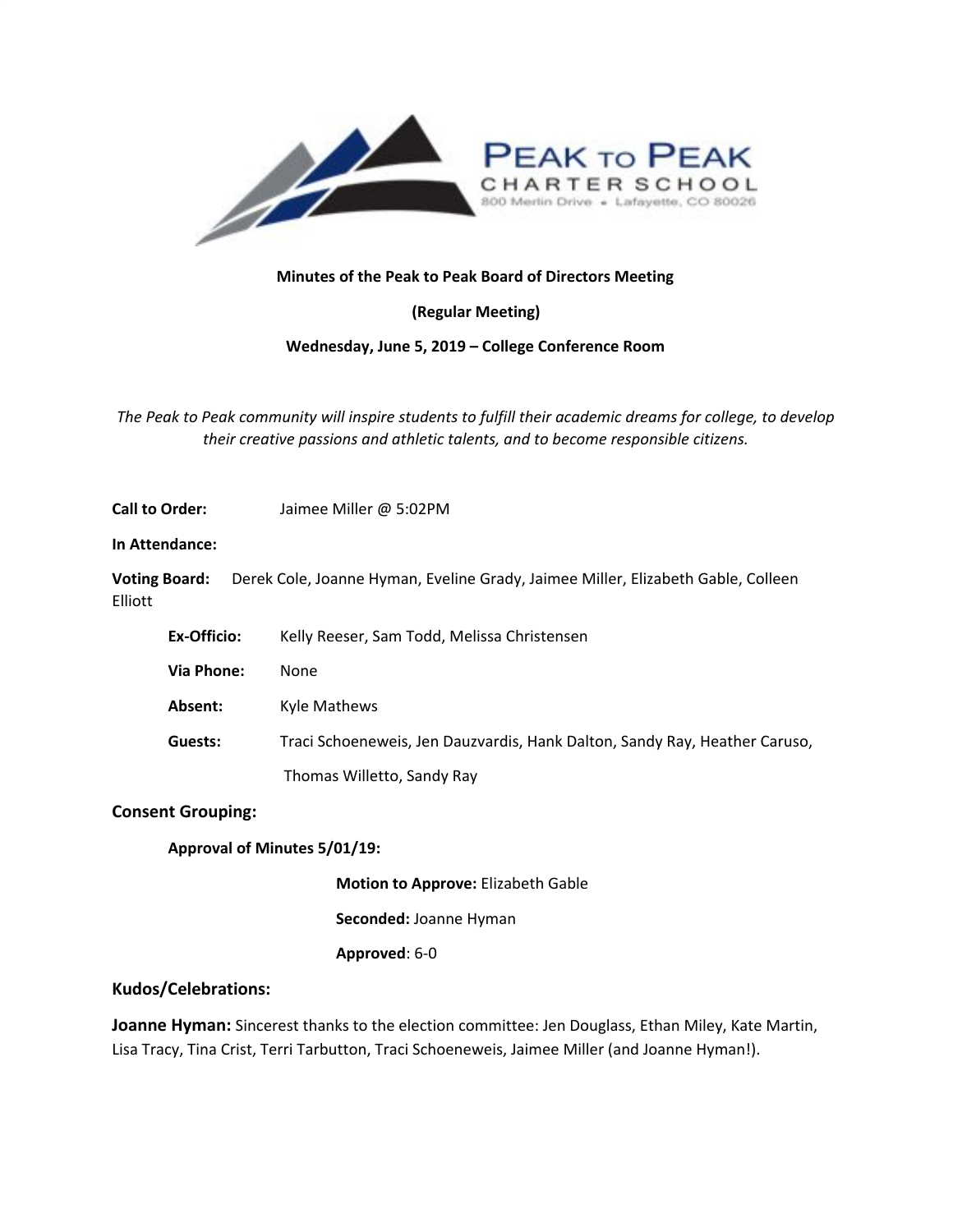

## **Minutes of the Peak to Peak Board of Directors Meeting**

**(Regular Meeting)**

### **Wednesday, June 5, 2019 – College Conference Room**

*The Peak to Peak community will inspire students to fulfill their academic dreams for college, to develop their creative passions and athletic talents, and to become responsible citizens.*

**Call to Order:** Jaimee Miller @ 5:02PM

**In Attendance:**

**Voting Board:** Derek Cole, Joanne Hyman, Eveline Grady, Jaimee Miller, Elizabeth Gable, Colleen Elliott

| Ex-Officio: | Kelly Reeser, Sam Todd, Melissa Christensen |  |
|-------------|---------------------------------------------|--|
|-------------|---------------------------------------------|--|

**Via Phone:** None

**Absent:** Kyle Mathews

**Guests:** Traci Schoeneweis, Jen Dauzvardis, Hank Dalton, Sandy Ray, Heather Caruso,

Thomas Willetto, Sandy Ray

### **Consent Grouping:**

### **Approval of Minutes 5/01/19:**

**Motion to Approve:** Elizabeth Gable

**Seconded:** Joanne Hyman

**Approved**: 6-0

### **Kudos/Celebrations:**

**Joanne Hyman:** Sincerest thanks to the election committee: Jen Douglass, Ethan Miley, Kate Martin, Lisa Tracy, Tina Crist, Terri Tarbutton, Traci Schoeneweis, Jaimee Miller (and Joanne Hyman!).